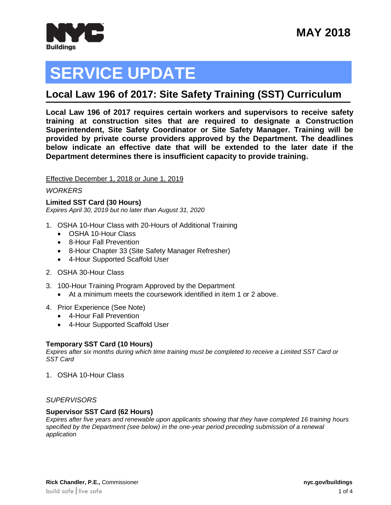

# **SERVICE UPDATE**

## **Local Law 196 of 2017: Site Safety Training (SST) Curriculum**

**Local Law 196 of 2017 requires certain workers and supervisors to receive safety training at construction sites that are required to designate a Construction Superintendent, Site Safety Coordinator or Site Safety Manager. Training will be provided by private course providers approved by the Department. The deadlines below indicate an effective date that will be extended to the later date if the Department determines there is insufficient capacity to provide training.**

#### Effective December 1, 2018 or June 1, 2019

#### *WORKERS*

**Limited SST Card (30 Hours)** *Expires April 30, 2019 but no later than August 31, 2020*

- 1. OSHA 10-Hour Class with 20-Hours of Additional Training
	- OSHA 10-Hour Class
	- 8-Hour Fall Prevention
	- 8-Hour Chapter 33 (Site Safety Manager Refresher)
	- 4-Hour Supported Scaffold User
- 2. OSHA 30-Hour Class
- 3. 100-Hour Training Program Approved by the Department
	- At a minimum meets the coursework identified in item 1 or 2 above.
- 4. Prior Experience (See Note)
	- 4-Hour Fall Prevention
	- 4-Hour Supported Scaffold User

#### **Temporary SST Card (10 Hours)**

*Expires after six months during which time training must be completed to receive a Limited SST Card or SST Card*

1. OSHA 10-Hour Class

#### *SUPERVISORS*

#### **Supervisor SST Card (62 Hours)**

*Expires after five years and renewable upon applicants showing that they have completed 16 training hours specified by the Department (see below) in the one-year period preceding submission of a renewal application*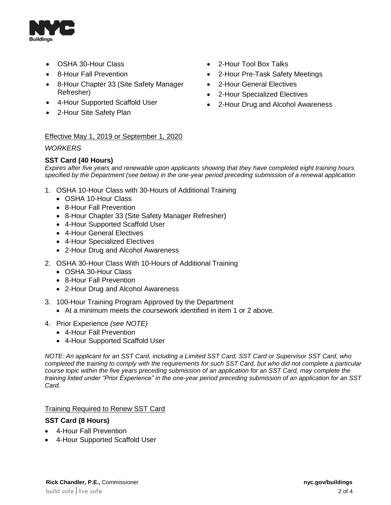

- OSHA 30-Hour Class
- 8-Hour Fall Prevention
- 8-Hour Chapter 33 (Site Safety Manager Refresher)
- 4-Hour Supported Scaffold User
- 2-Hour Site Safety Plan
- 2-Hour Tool Box Talks
- 2-Hour Pre-Task Safety Meetings
- 2-Hour General Electives
- 2-Hour Specialized Electives
- 2-Hour Drug and Alcohol Awareness

#### Effective May 1, 2019 or September 1, 2020

#### *WORKERS*

#### **SST Card (40 Hours)**

*Expires after five years and renewable upon applicants showing that they have completed eight training hours specified by the Department (see below) in the one-year period preceding submission of a renewal application*

- 1. OSHA 10-Hour Class with 30-Hours of Additional Training
	- OSHA 10-Hour Class
	- 8-Hour Fall Prevention
	- 8-Hour Chapter 33 (Site Safety Manager Refresher)
	- 4-Hour Supported Scaffold User
	- 4-Hour General Electives
	- 4-Hour Specialized Electives
	- 2-Hour Drug and Alcohol Awareness
- 2. OSHA 30-Hour Class With 10-Hours of Additional Training
	- OSHA 30-Hour Class
	- 8-Hour Fall Prevention
	- 2-Hour Drug and Alcohol Awareness
- 3. 100-Hour Training Program Approved by the Department
	- At a minimum meets the coursework identified in item 1 or 2 above.
- 4. Prior Experience *(see NOTE)*
	- 4-Hour Fall Prevention
	- 4-Hour Supported Scaffold User

*NOTE: An applicant for an SST Card, including a Limited SST Card, SST Card or Supervisor SST Card, who completed the training to comply with the requirements for such SST Card, but who did not complete a particular course topic within the five years preceding submission of an application for an SST Card, may complete the training listed under "Prior Experience" in the one-year period preceding submission of an application for an SST Card.*

#### Training Required to Renew SST Card

#### **SST Card (8 Hours)**

- 4-Hour Fall Prevention
- 4-Hour Supported Scaffold User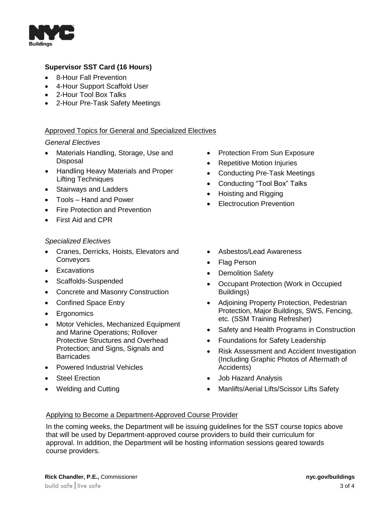

#### **Supervisor SST Card (16 Hours)**

- 8-Hour Fall Prevention
- 4-Hour Support Scaffold User
- 2-Hour Tool Box Talks
- 2-Hour Pre-Task Safety Meetings

#### Approved Topics for General and Specialized Electives

#### *General Electives*

- Materials Handling, Storage, Use and **Disposal**
- Handling Heavy Materials and Proper Lifting Techniques
- Stairways and Ladders
- Tools Hand and Power
- Fire Protection and Prevention
- First Aid and CPR

#### *Specialized Electives*

- Cranes, Derricks, Hoists, Elevators and **Conveyors**
- Excavations
- Scaffolds-Suspended
- Concrete and Masonry Construction
- Confined Space Entry
- Ergonomics
- Motor Vehicles, Mechanized Equipment and Marine Operations; Rollover Protective Structures and Overhead Protection; and Signs, Signals and **Barricades**
- Powered Industrial Vehicles
- Steel Erection
- Welding and Cutting
- Protection From Sun Exposure
- Repetitive Motion Injuries
- Conducting Pre-Task Meetings
- Conducting "Tool Box" Talks
- Hoisting and Rigging
- Electrocution Prevention
- Asbestos/Lead Awareness
- Flag Person
- Demolition Safety
- Occupant Protection (Work in Occupied Buildings)
- Adioining Property Protection, Pedestrian Protection, Major Buildings, SWS, Fencing, etc. (SSM Training Refresher)
- Safety and Health Programs in Construction
- Foundations for Safety Leadership
- Risk Assessment and Accident Investigation (Including Graphic Photos of Aftermath of Accidents)
- Job Hazard Analysis
- Manlifts/Aerial Lifts/Scissor Lifts Safety

#### Applying to Become a Department-Approved Course Provider

In the coming weeks, the Department will be issuing guidelines for the SST course topics above that will be used by Department-approved course providers to build their curriculum for approval. In addition, the Department will be hosting information sessions geared towards course providers.